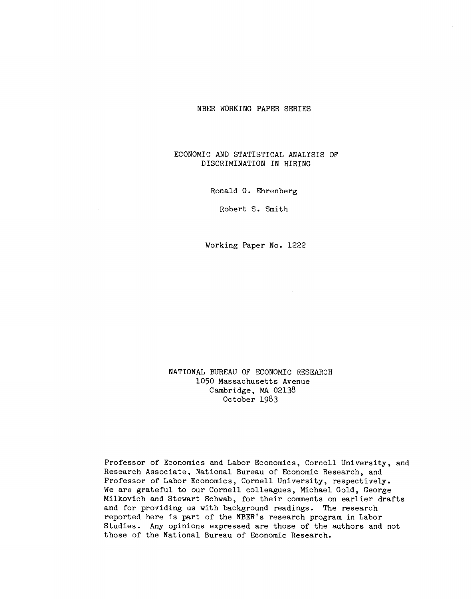## NBER WORKING PAPER SERIES

## ECONOMIC AND STATISTICAL ANALfSIS OF DISCRIMINATION IN HIRING

Ronald G. Ehrenberg

Robert S. Smith

Working Paper No. 1222

NATIONAL BUREAU OF ECONOMIC RESEARCH 1050 Massachusetts Avenue Cambridge, MA 02138 October 1983

Professor of Economics and Labor Economics, Cornell University, and Research Associate, National Bureau of Economic Research, and Professor of Labor Economics, Cornell University, respectively. We are grateful to our Cornell colleagues, Michael Gold, George Milkovich and Stewart Schwab, for their comments on earlier drafts and for providing us with background readings. The research reported here is part of the NBER's research program in Labor Studies. Any opinions expressed are those of the authors and not those of the National Bureau of Economic Research.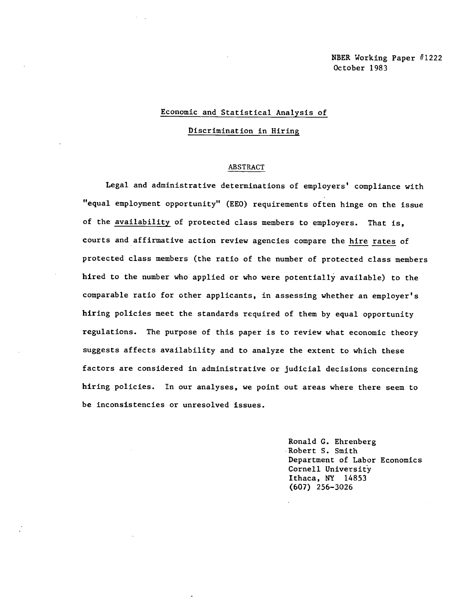## Economic and Statistical Analysis of

Discrimination in Hiring

## ABSTRACT

Legal and administrative determinations of employers' compliance with "equal employment opportunity" (EEO) requirements often hinge on the Issue of the availability of protected class members to employers. That is, courts and affirmative action review agencies compare the hire rates of protected class members (the ratio of the number of protected class members hired to the number who applied or who were potentially available) to the comparable ratio for other applicants, in assessing whether an employer's hiring policies meet the standards required of them by equal opportunity regulations. The purpose of this paper is to review what economic theory suggests affects availability and to analyze the extent to which these factors are considered in administrative or judicial decisions concerning hiring policies. In our analyses, we point out areas where there seem to be inconsistencies or unresolved issues.

> Ronald C. Ehrenberg Robert S. Smith Department of Labor Economics Cornell University Ithaca, NY 14853 (607) 256—3026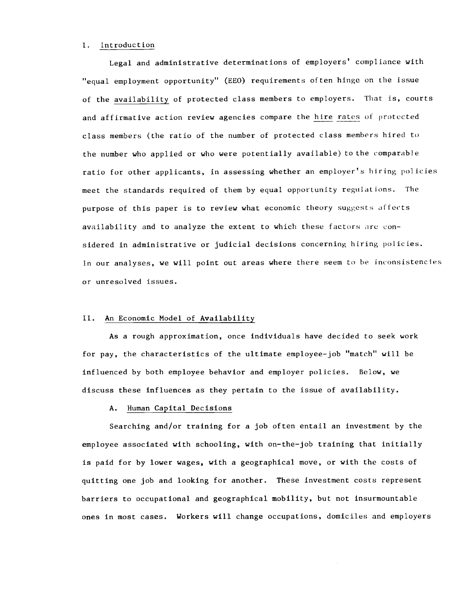#### I. Introduction

Legal and administrative determinations of employers' compliance with "equal employment opportunity" (EEO) requirements often hinge on the issue of the availability of protected class members to employers. That is, courts and affirmative action review agencies compare the hire rates of protected class members (the ratio of the number of protected class members hired to the number who applied or who were potentially available) to the comparable ratio for other applicants, in assessing whether an employer's hiring policies meet the standards required of them by equal opportunity regulations. The purpose of this paper is to review what economic theory suggests affects availability and to analyze the extent to which these factors are considered in administrative or judicial decisions concerning hiring policies. In our analyses, we will point out areas where there seem to he inconsistencies or unresolved issues.

### II. An Economic Model of Availability

As a rough approximation, once individuals have decided to seek work for pay, the characteristics of the ultimate employee—job "match" will be influenced by both employee behavior and employer policies. Below, we discuss these influences as they pertain to the issue of availability.

## A. Human Capital Decisions

Searching and/or training for a job often entail an investment by the employee associated with schooling, with on—the—job training that initially is paid for by lower wages, with a geographical move, or with the costs of quitting one job and looking for another. These Investment costs represent barriers to occupational and geographical mobility, but not insurmountable ones in most cases. Workers will change occupations, domiciles and employers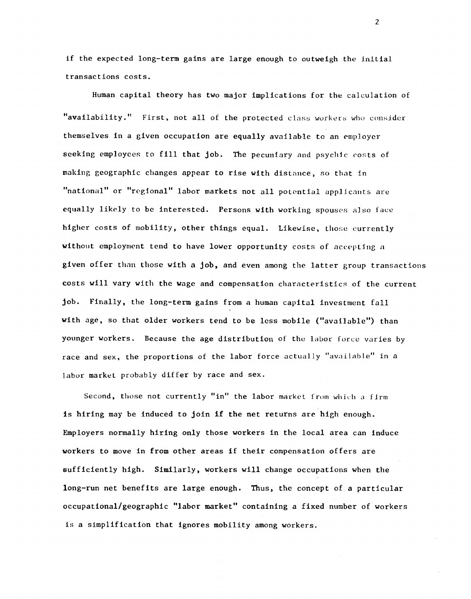if the expected long-term gains are large enough to outweigh the initial transactions costs.

Human capital theory has two major implications for the calculation of "availability." First, not all of the protected class workers who consider themselves in a given occupation are equally available to an employer seeking employees to fill that job. The pecuniary and psychic costs of making geographic changes appear to rise with distance, so that in "national" or "regional" labor markets not all potential applicants are equally likely to be interested. Persons with working spouses also face higher costs of mobility, other things equal. Likewise, those currently without employment tend to have lower opportunity costs of accepting <sup>a</sup> given offer than those with a job, and even among the latter group transactions costs will vary with the wage and compensation characteristics of the current job. Finally, the long-term gains from a human capital investment fall with age, so that older workers tend to be less mobile ("available") than younger workers. Because the age distribution of the labor force varies by race and sex, the proportions of the labor force actually "available" in a labor market probably differ by race and sex.

Second, those not currently "in" the labor market from which a firm is hiring may be induced to join if the net returns are high enough. Employers normally hiring only those workers in the local area can induce workers to move in from other areas if their compensation offers are sufficiently high. Similarly, workers will change occupations when the long—run net benefits are large enough. Thus, the concept of a particular occupational/geographic "labor market" containing a fixed number of workers is a simplification that ignores mobility among workers.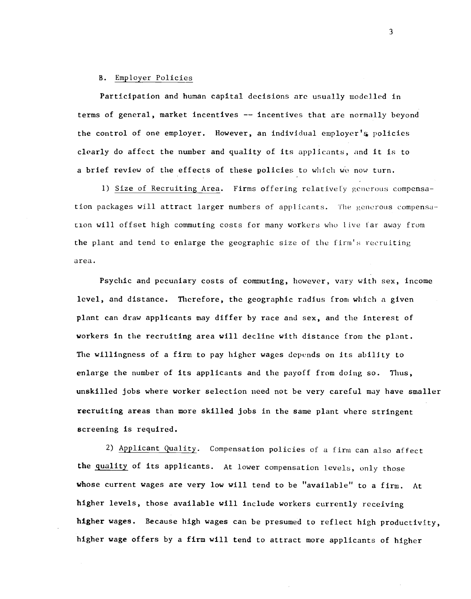### B. Employer Policies

Participation and human capital decisions are usually modelled in terms of general, market incentives -- incentives that are normally beyond the control of one employer. However, an individual employer's policies clearly do affect the number and quality of its applicants, and It is to a brief review of the effects of these policies to which we now turn.

1) Size of Recruiting Area. Firms offering relatively generous compensation packages will attract larger numbers of applicants. The generous compensa-Lion will offset high commuting costs for many workers who live far away from the plant and tend to enlarge the geographic size of the firm's recruiting area.

Psychic and pecuniary costs of commuting, however, vary with sex, income level, and distance. Therefore, the geographic radius from which a given plant can draw applicants may differ by race and sex, and the interest of workers in the recruiting area will decline with distance from the plant. The willingness of a firm to pay higher wages depends on Its ability to enlarge the number of Its applicants and the payoff from doing so. Thus, unskilled jobs where worker selection need not be very careful may have smaller recruiting areas than more skilled jobs in the same plant where stringent screening is required.

2) Applicant Quality. Compensation policies of a firm can also affect the quality of its applicants. At lower compensation levels, only those whose current wages are very low will tend to be "available" to a firm. At higher levels, those available will include workers currently receiving higher wages. Because high wages can be presumed to reflect high productivity, higher wage offers by a firm will tend to attract more applicants of higher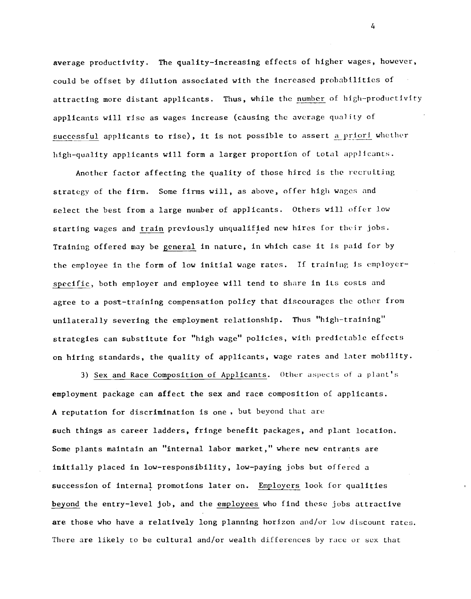average productivity. The quality—increasing effects of higher wages, however, could be offset by dilution associated with the increased probabilities of attracting more distant applicants. Thus, while the number of high—productivity applicants will rise as wages increase (causing the average quality of successful applicants to rise), It is not possible to assert a priori whether high—quality applicants will form a larger proportfon of total applicants.

Another factor affecting the quality of those hired is the recruiting strategy of the firm. Some firms will, as above, offer high wages and select the best from a large number of applicants. Others will offer low starting wages and train previously unqualified new hires for their jobs. Training offered may be general in nature, in which case it is paid for by the employee in the form of low initial wage rates. If training is employerspecific, both employer and employee will tend to share in its costs and agree to a post—training compensation policy that discourages the other from unilaterally severing the employment relationship. Thus "high-training" strategies can substitute for "high wage" policies, with predictable effects on hiring standards, the quality of applicants, wage rates and later mobility.

3) Sex and Race Composition of Applicants. Other aspects of a plant's employment package can affect the sex and race composition of applicants. A reputation for discrimination is one , but beyond that are such things as career ladders, fringe benefit packages, and plant location. Some plants maintain an "internal labor market," where new entrants are initially placed in low—responsibility, low—paying jobs but offered a succession of internal promotions later on. Employers look for qualities beyond the entry—level job, and the employees who find these jobs attractive are those who have a relatively long planning horizon and/or low discount rates. There are likely to be cultural and/or wealth differences by race or sex that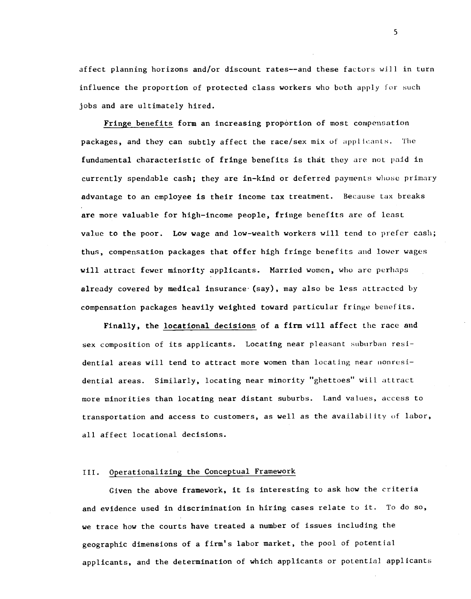affect planning horizons and/or discount rates——and these factors will in turn influence the proportion of protected class workers who both apply for such jobs and are ultimately hired.

Fringe benefits form an increasing proportion of most compensation packages, and they can subtly affect the race/sex mix of applicants. The fundamental characteristic of fringe benefits is that they are not paid in currently spendable cash; they are in—kind or deferred payments whose primary advantage to an employee is their income tax treatment. Because tax breaks are more valuable for high—income people, fringe benefits are of least value to the poor. Low wage and low-wealth workers will tend to prefer cash; thus, compensation packages that offer high fringe benefits and lower wages will attract fewer minority applicants. Married women, who are perhaps already covered by medical insurance (say), may also be less attracted by compensation packages heavily weighted toward particular fringe benefits.

Finally, the locational decisions of a firm will affect the race and sex composition of its applicants. Locating near pleasant suburban residential areas will tend to attract more women than locating near nonresidential areas. Similarly, locating near minority "ghettoes" will attract more minorities than locating near distant suburbs. Land values, access to transportation and access to customers, as well as the availability of labor, all affect locational decisions.

#### III. Operationalizing the Conceptual Framework

Given the above framework, it is interesting to ask how the criteria and evidence used in discrimination in hiring cases relate to it. To do so, we trace how the courts have treated a number of issues including the geographic dimensions of a firm's labor market, the pool of potential applicants, and the determination of which applicants or potential applicants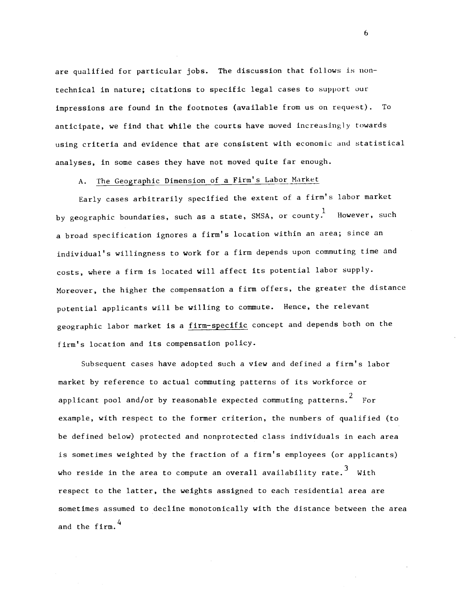are qualified for particular jobs. The discussion that follows is nontechnical in nature; citations to specific legal cases to support our impressions are found in the footnotes (available from us on request). To anticipate, we find that while the courts have moved increasingly towards using criteria and evidence that are consistent with economic and statistical analyses, in some cases they have not moved quite far enough.

A. The Geographic Dimension of a Firm's Labor Market

Early cases arbitrarily specified the extent of a firm's labor market by geographic boundaries, such as a state, SMSA, or county. However, such a broad specification ignores a firm's location within an area; since an Individual's willingness to work for a firm depends upon commuting time and costs, where a firm is located will affect its potential labor supply. Moreover, the higher the compensation a firm offers, the greater the distance potential applicants will be willing to commute. Hence, the relevant geographic labor market is a firm-specific concept and depends both on the firm's location and its compensation policy.

Subsequent cases have adopted such a view and defined a firm's labor market by reference to actual commuting patterns of its workforce or applicant pool and/or by reasonable expected commuting patterns.  $2^{2}$  For example, with respect to the former criterion, the numbers of qualified (to be defined below) protected and nonprotected class individuals in each area is sometimes weighted by the fraction of a firm's employees (or applicants) who reside in the area to compute an overall availability rate.<sup>3</sup> With respect to the latter, the weights assigned to each residential area are sometimes assumed to decline monotonically with the distance between the area and the firm.<sup>4</sup>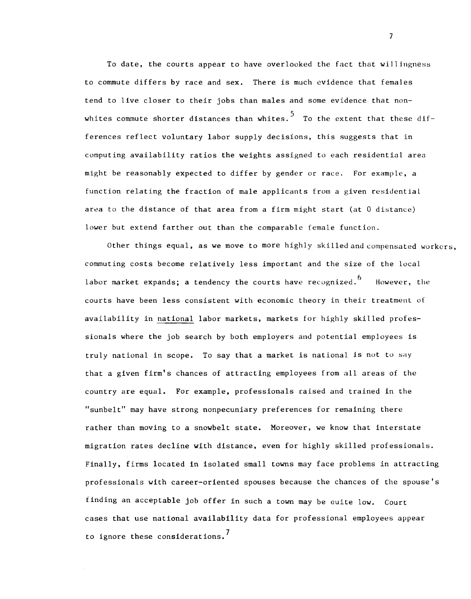To date, the courts appear to have overlooked the fact that willingness to commute differs by race and sex. There is much evidence that females tend to live closer to their jobs than males and some evidence that nonwhites commute shorter distances than whites.  $5$  To the extent that these differences reflect voluntary labor supply decisions, this suggests that in computing availability ratios the weights assigned to each residential area might be reasonably expected to differ by gender or race. For example, a function relating the fraction of male applicants from a given residential area to the distance of that area from a firm might start (at 0 distance) lower but extend farther out than the comparable female function.

Other things equal, as we move to more highly skilledand compensated workers, commuting costs become relatively less important and the size of the local labor market expands; a tendency the courts have recognized.<sup>6</sup> However, the courts have been less consistent with economic theory in their treatment of availability in national labor markets, markets for highly skilled professionals where the job search by both employers and potential employees is truly national in scope. To say that a market is national is not to say that a given firm's chances of attracting employees from all areas of the country are equal. For example, professionals raised and trained in the "sunbelt" may have strong nonpecuniary preferences for remaining there rather than moving to a snowbelt state. Moreover, we know that interstate migration rates decline with distance, even for highly skilled professionals. Finally, firms located In Isolated small towns may face problems in attracting professionals with career—oriented spouses because the chances of the spouse's finding an acceptable job offer In such a town may be ouite low. Court cases that use national availability data for professional employees appear to ignore these considerations.<sup>7</sup>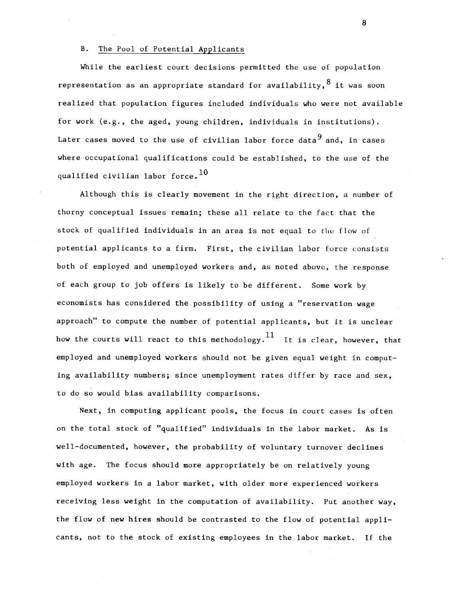### B. The Pool of Potential Applicants

While the earliest court decisions permitted the use of population representation as an appropriate standard for availability,  $8$  it was soon realized that population figures included individuals who were not available for work (e.g., the aged, young children, individuals in institutions). Later cases moved to the use of civilian labor force data<sup>9</sup> and, in cases where occupational qualifications could be established, to the use of the qualified civilian labor force.  $10$ 

Although this is clearly movement in the right direction, a number of thorny conceptual issues remain; these all relate to the fact that the stock of qualified individuals in an area is not equal to the flow of potential applicants to a firm. First, the civilian labor force consists both of employed and unemployed workers and, as noted above, the response of each group to job offers is likely to be different. Some work by economists has considered the possibility of using a "reservation wage approach" to compute the number of potential applicants, but it is unclear how the courts will react to this methodology.  $11$  It is clear, however, that employed and unemployed workers should not be given equal weight in computing availability numbers; since unemployment rates differ by race and sex, to do so would bias availability comparisons.

Next, In computing applicant pools, the focus in court cases is often on the total stock of "qualified" individuals In the labor market. As Is well-documented, however, the probability of voluntary turnover declines with age. The focus should more appropriately be on relatively young employed workers in a labor market, with older more experienced workers receiving less weight in the computation of availability. Put another way, the flow of new hires should be contrasted to the flow of potential applicants, not to the stock of existing employees in the labor market. If the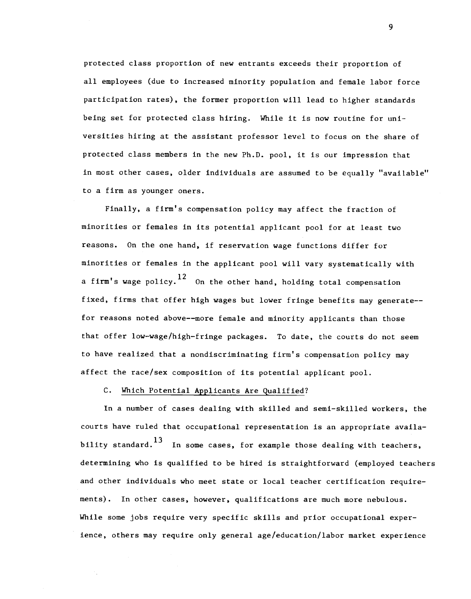protected class proportion of new entrants exceeds their proportion of all employees (due to increased minority population and female labor force participation rates), the former proportion will lead to higher standards being set for protected class hiring. While it is now routine for universities hiring at the assistant professor level to focus on the share of protected class members in the new Ph.D. pool, it is our impression that in most other cases, older individuals are assumed to be equally "avaitable" to a firm as younger oners.

Finally, a firm's compensation policy may affect the fraction of minorities or females in its potential applicant pooi for at least two reasons. On the one hand, if reservation wage functions differ for minorities or females in the applicant pool will vary systematically with a firm's wage policy.<sup>12</sup> On the other hand, holding total compensation fixed, firms that offer high wages but lower fringe benefits may generate— for reasons noted above——more female and minority applicants than those that offer low—wage/high—fringe packages. To date, the courts do not seem to have realized that a nondiscriminating firm's compensation policy may affect the race/sex composition of its potential applicant pool.

## C. Which Potential Applicants Are Qualified?

In a number of cases dealing with skilled and semi—skilled workers, the courts have ruled that occupational representation is an appropriate availability standard.<sup>13</sup> In some cases, for example those dealing with teachers, determining who is qualified to be hired is straightforward (employed teachers and other individuals who meet state or local teacher certification requirements). In other cases, however, qualifications are much more nebulous. While some jobs require very specific skills and prior occupational experience, others may require only general age/education/labor market experience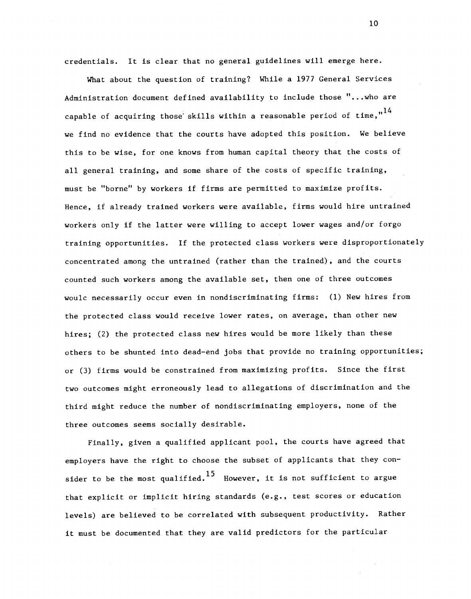credentials. It is clear that no general guidelines will emerge here.

What about the question of training? While a 1977 General Services Administration document defined availability to include those ". . .who are capable of acquiring those skills within a reasonable period of time,  $n^{14}$ we find no evidence that the courts have adopted this position. We believe this to be wise, for one knows from human capital theory that the costs of all general training, and some share of the costs of specific training, must be "borne" by workers if firms are permitted to maximize profits. Hence, If already trained workers were available, firms would hire untrained workers only If the latter were willing to accept lower wages and/or forgo training opportunities. If the protected class workers were disproportionately concentrated among the untrained (rather than the trained), and the courts counted such workers among the available set, then one of three outcomes woulc necessarily occur even In nondiscriminating firms: (1) New hires from the protected class would receive lower rates, on average, than other new hires; (2) the protected class new hires would be more likely than these others to be shunted into dead—end jobs that provide no training opportunities; or (3) firms would be constrained from maximizing profits. Since the first two outcomes might erroneously lead to allegations of discrimination and the third might reduce the number of nondiscriminating employers, none of the three outcomes seems socially desirable.

Finally, given a qualified applicant pool, the courts have agreed that employers have the right to choose the subset of applicants that they consider to be the most qualified.<sup>15</sup> However, it is not sufficient to argue that explicit or Implicit hiring standards (e.g., test scores or education levels) are believed to be correlated with subsequent productivity. Rather it must be documented that they are valid predictors for the particular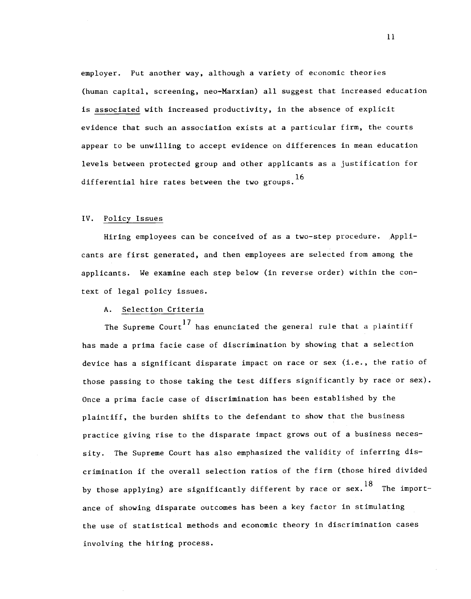employer. Put another way, although a variety of economic theories (human capital, screening, neo—Marxian) all suggest that increased education is associated with increased productivity, in the absence of explicit evidence that such an association exists at a particular firm, the courts appear to be unwilling to accept evidence on differences in mean education levels between protected group and other applicants as a justification for differential hire rates between the two groups.<sup>16</sup>

#### IV. Policy Issues

Hiring employees can be conceived of as a two—step procedure. Applicants are first generated, and then employees are selected from among the applicants. We examine each step below (in reverse order) within the context of legal policy issues.

# A. Selection Criteria

The Supreme Court<sup>17</sup> has enunciated the general rule that a plaintiff has made a prima facie case of discrimination by showing that a selection device has a significant disparate impact on race or sex (i.e., the ratio of those passing to those taking the test differs significantly by race or sex). Once a prima facie case of discrimination has been established by the plaintiff, the burden shifts to the defendant to show that the business practice giving rise to the disparate impact grows out of a business necessity. The Supreme Court has also emphasized the validity of inferring discrimination if the overall selection ratios of the firm (those hired divided by those applying) are significantly different by race or sex.<sup>18</sup> The importance of showing disparate outcomes has been a key factor in stimulating the use of statistical methods and economic theory in discrimination cases involving the hiring process.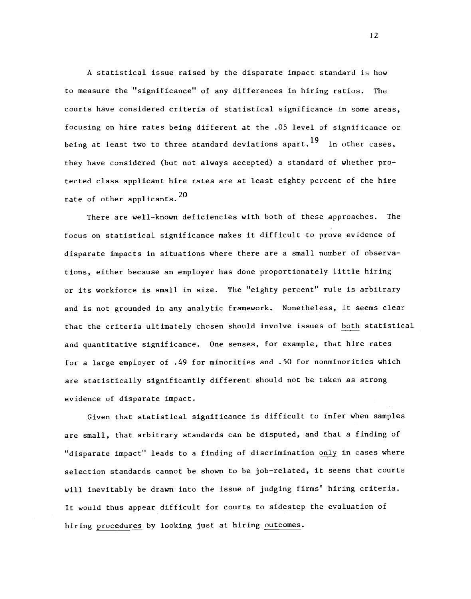A statistical issue raised by the disparate impact standard is how to measure the "significance" of any differences in hiring ratios. The courts have considered criteria of statistical significance in some areas, focusing on hire rates being different at the .05 level of significance or being at least two to three standard deviations apart.<sup>19</sup> In other cases, they have considered (but not always accepted) a standard of whether protected class applicant hire rates are at least eighty percent of the hire rate of other applicants.  $20$ 

There are well-known deficiencies with both of these approaches. The focus on statistical significance makes it difficult to prove evidence of disparate impacts in situations where there are a small number of observations, either because an employer has done proportionately little hiring or its workforce is small in size. The "eighty percent" rule is arbitrary and is not grounded in any analytic framework. Nonetheless, it seems clear that the criteria ultimately chosen should involve issues of both statistical and quantitative significance. One senses, for example, that hire rates for a large employer of .49 for minorities and .50 for nonminorities which are statistically significantly different should not be taken as strong evidence of disparate impact.

Given that statistical significance is difficult to infer when samples are small, that arbitrary standards can be disputed, and that a finding of "disparate impact" leads to a finding of discrimination only in cases where selection standards cannot be shown to be job—related, it seems that courts will inevitably be drawn into the issue of judging firms' hiring criteria. It would thus appear difficult for courts to sidestep the evaluation of hiring procedures by looking just at hiring outcomes.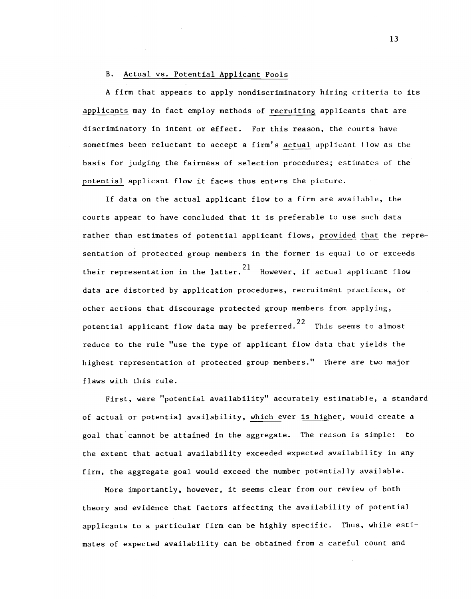## B. Actual vs. Potential Applicant Pools

A firm that appears to apply nondiscriminatory hiring criteria to its applicants may in fact employ methods of recruiting applicants that are discriminatory in intent or effect. For this reason, the courts have sometimes been reluctant to accept a firm's actual applicant flow as the basis for judging the fairness of selection procedures; estimates of the potential applicant flow it faces thus enters the picture.

If data on the actual applicant flow to a firm are available, the courts appear to have concluded that it is preferable to use such data rather than estimates of potential applicant flows, provided that the representation of protected group members in the former is equal to or exceeds their representation in the latter.  $21$  However, if actual applicant flow data are distorted by application procedures, recruitment practices, or other actions that discourage protected group members from applying, potential applicant flow data may be preferred.<sup>22</sup> This seems to almost reduce to the rule "use the type of applicant flow data that yields the highest representation of protected group members." There are two major flaws with this rule.

First, were "potential availability" accurately estimatable, a standard of actual or potential availability, which ever is higher, would create a goal that cannot be attained in the aggregate. The reason is simple: to the extent that actual availability exceeded expected availability in any firm, the aggregate goal would exceed the number potentially available.

More importantly, however, it seems clear from our review of both theory and evidence that factors affecting the availability of potential applicants to a particular firm can be highly specific. Thus, while estimates of expected availability can be obtained from a careful count and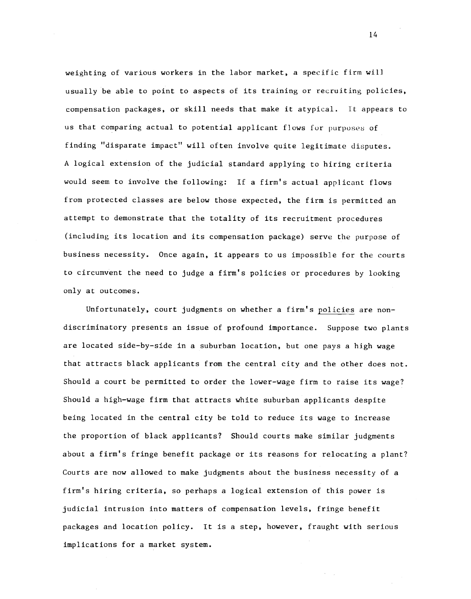weighting of various workers in the labor market, a specific firm will usually be able to point to aspects of its training or recruiting policies, compensation packages, or skill needs that make it atypical. It appears to us that comparing actual to potential applicant flows for purposes of finding "disparate impact" will often involve quite legitimate disputes. A logical extension of the judicial standard applying to hiring criteria would seem to involve the following: If a firm's actual applicant flows from protected classes are below those expected, the firm is permitted an attempt to demonstrate that the totality of its recruitment procedures (including its location and its compensation package) serve the purpose of business necessity. Once again, it appears to us impossible for the courts to circumvent the need to judge a firm's policies or procedures by looking only at outcomes.

Unfortunately, court judgments on whether a firm's policies are nondiscriminatory presents an issue of profound importance. Suppose two plants are located side—by—side in a suburban location, but one pays a high wage that attracts black applicants from the central city and the other does not. Should a court be permitted to order the lower—wage firm to raise its wage? Should a high—wage firm that attracts white suburban applicants despite being located in the central city be told to reduce its wage to increase the proportion of black applicants? Should courts make similar judgments about a firm's fringe benefit package or its reasons for relocating a plant? Courts are now allowed to make judgments about the business necessity of a firm's hiring criteria, so perhaps a logical extension of this power is judicial intrusion into matters of compensation levels, fringe benefit packages and location policy. It is a step, however, fraught with serious implications for a market system.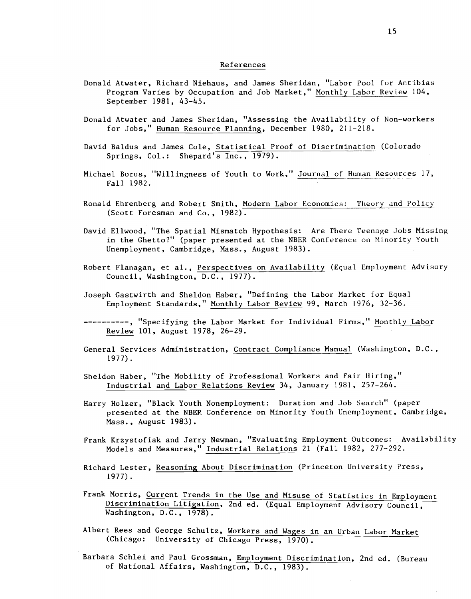#### References

- Donald Atwater, Richard Niehaus, and James Sheridan, "Labor Pool for Antibias Program Varies by Occupation and Job Market," Monthly Labor Review 104, September 1981, 43—45.
- Donald Atwater and James Sheridan, "Assessing the Availability of Non—workers for Jobs," Human Resource Planning, December 1980, 211-218.
- David Baldus and James Cole, Statistical Proof of Discrimination (Colorado Springs, Col.: Shepard's Inc., 1979).
- Michael Borus, "Willingness of Youth to Work," Journal of Human Resources 17, Fall 1982.
- Ronald Ehrenberg and Robert Smith, Modern Labor Economics: Theory and Policy (Scott Foresman and Co., 1982).
- David Eliwood, "The Spatial Mismatch Hypothesis: Are There Teenage Jobs Missing in the Ghetto?" (paper presented at the NBER Conference on Minority Youth Unemployment, Cambridge, Mass., August 1983).
- Robert Flanagan, et al., Perspectives on Availability (Equal Employment Advisory Council, Washington, D.C., 1977).
- Joseph Gastwirth and Sheldon Haber, "Defining the Labor Market for Equal Employment Standards," Monthly Labor Review 99, March 1976, 32—36.
- ---------, "Specifying the Labor Market for Individual Firms," Monthly Labor Review 101, August 1978, 26—29.
- General Services Administration, Contract Compliance Manual (Washington, D.C., 1977).
- Sheldon Haber, "The Mobility of Professional Workers and Fair hiring," Industrial and Labor Relations Review 34, January 1981, 257—264.
- Harry Holzer, "Black Youth Nonemployment: Duration and Job Search" (paper presented at the NBEF, Conference on Minority Youth Unemployment, Cambridge, Mass., August 1983).
- Frank Krzystofiak and Jerry Newman, "Evaluating Employment Outcomes: Availability Models and Measures," Industrial Relations 21 (Fall 1982, 277—292.
- Richard Lester, Reasoning About Discrimination (Princeton University Press, 1977).
- Frank Morris, Current Trends in the Use and Misuse of Statistics in Employment Discrimination Litigation, 2nd ed. (Equal Employment Advisory Council, Washington, D.C., 1978).
- Albert Rees and George Schultz, Workers and Wages in an Urban Labor Market (Chicago: University of Chicago Press, 1970).
- Barbara Schlei and Paul Grossman, Employment Discrimination, 2nd ed. (Bureau of National Affairs, Washington, D.C., 1983).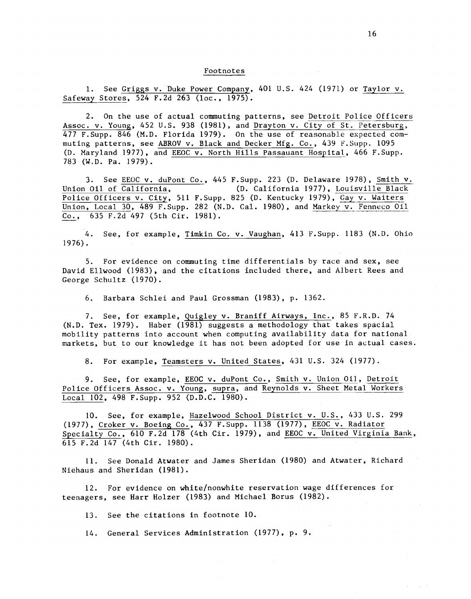#### Footnotes

1. See Griggs v. Duke Power Company, 401 U.S. 424 (1971) or Taylor v. Safeway Stores, 524 F.2d 263 (loc., 1975).

2. On the use of actual commuting patterns, see Detroit Police Officers Assoc. v. Young, 452 U.S. 938 (1981), and Drayton v. City of St. Petersburg, 477 F.Supp. 846 (M.D. Florida 1979). On the use of reasonable expected commuting patterns, see ABROV v. Black and Decker Mfg. Co., 439 F.Supp. 1095 (D. Maryland 1977), and EEOC v. North Hills Passauant Hospital, 466 F.Supp. 783 (W.D. Pa. 1979).

3. See EEOC v. duPont Co., 445 F.Supp. 223 (D. Delaware 1978), Smith v. Union Oil of California, (D. California 1977), Louisville Black Police Officers v. City, 511 F. Supp. 825 (D. Kentucky 1979), Gay v. Waiters Union, Local 30, 489 F. Supp. 282 (N.D. Cal. 1980), and Markey v. Fenneco Oil Co., 635 F.2d 497 (5th Cir. 1981).

4. See, for example, Timkin Co. v. Vaughan, 413 F.Supp. 1183 (N.D. Ohio 1976).

5. For evidence on commuting time differentials by race and sex, see David Eliwood (1983), and the citations included there, and Albert Rees and George Schultz (1970).

6. Barbara Schlei and Paul Grossman (1983), p. 1362.

7. See, for example, Quigley v. Braniff Airways, Inc., 85 F.R.D. 74 (N.D. Tex. 1979). Haber (1981) suggests a methodology that takes spacial mobility patterns into account when computing availability data for national markets, but to our knowledge it has not been adopted for use in actual cases.

8. For example, Teamsters v. United States, 431 U.S. 324 (1977).

9. See, for example, EEOC v. duPont Co., Smith v. Union Oi1, Detroit Police Officers Assoc. v. Young, supra, and Reynolds v. Sheet Metal Workers Local 102, 498 F.Supp. 952 (D.D.C. 1980).

10. See, for example, Hazelwood School District v. U.S., 433 U.S. 299 (1977), Croker v. Boeing Co., 437 F.Supp. 1138 (1977), EEOC v. Radiator Specialty Co., 610 F.2d 178 (4th Cir. 1979), and EEOC v. United Virginia Bank, 615 F.2d 147 (4th Cir. 1980).

11. See Donald Atwater and James Sheridan (1980) and Atwater, Richard Niehaus and Sheridan (1981).

12. For evidence on white/nonwhite reservation wage differences for teenagers, see Harr Hoizer (1983) and Michael Borus (1982).

13. See the citations in footnote 10.

14. General Services Administration (1977), p. 9.